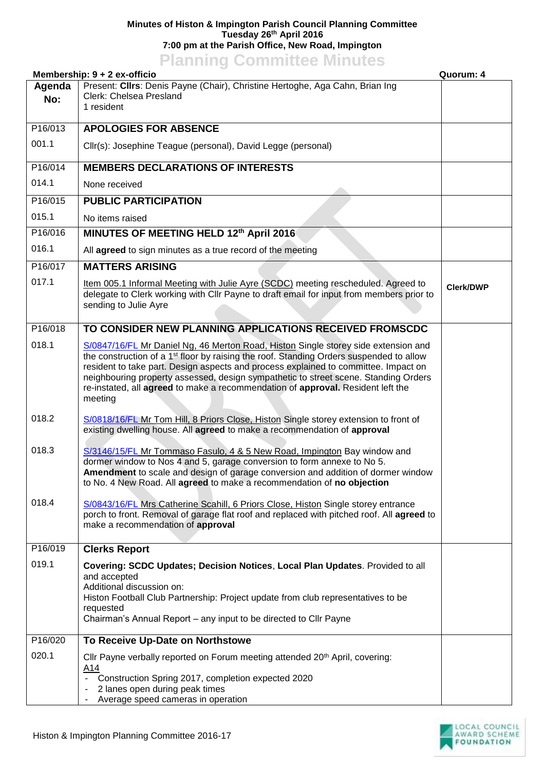## **Minutes of Histon & Impington Parish Council Planning Committee Tuesday 26th April 2016 7:00 pm at the Parish Office, New Road, Impington**

## **Planning Committee Minutes**

|                      | Membership: 9 + 2 ex-officio<br>Quorum: 4                                                                                                                                                                                                                                                                                                                                                                                                                             |                  |
|----------------------|-----------------------------------------------------------------------------------------------------------------------------------------------------------------------------------------------------------------------------------------------------------------------------------------------------------------------------------------------------------------------------------------------------------------------------------------------------------------------|------------------|
| Agenda<br>No:        | Present: Clirs: Denis Payne (Chair), Christine Hertoghe, Aga Cahn, Brian Ing<br>Clerk: Chelsea Presland<br>1 resident                                                                                                                                                                                                                                                                                                                                                 |                  |
| P16/013              | <b>APOLOGIES FOR ABSENCE</b>                                                                                                                                                                                                                                                                                                                                                                                                                                          |                  |
| 001.1                | Cllr(s): Josephine Teague (personal), David Legge (personal)                                                                                                                                                                                                                                                                                                                                                                                                          |                  |
| P16/014              | <b>MEMBERS DECLARATIONS OF INTERESTS</b>                                                                                                                                                                                                                                                                                                                                                                                                                              |                  |
| 014.1                | None received                                                                                                                                                                                                                                                                                                                                                                                                                                                         |                  |
| P16/015              | <b>PUBLIC PARTICIPATION</b>                                                                                                                                                                                                                                                                                                                                                                                                                                           |                  |
| 015.1                | No items raised                                                                                                                                                                                                                                                                                                                                                                                                                                                       |                  |
| P <sub>16</sub> /016 | MINUTES OF MEETING HELD 12th April 2016                                                                                                                                                                                                                                                                                                                                                                                                                               |                  |
| 016.1                | All agreed to sign minutes as a true record of the meeting                                                                                                                                                                                                                                                                                                                                                                                                            |                  |
| P16/017              | <b>MATTERS ARISING</b>                                                                                                                                                                                                                                                                                                                                                                                                                                                |                  |
| 017.1                | Item 005.1 Informal Meeting with Julie Ayre (SCDC) meeting rescheduled. Agreed to<br>delegate to Clerk working with Cllr Payne to draft email for input from members prior to<br>sending to Julie Ayre                                                                                                                                                                                                                                                                | <b>Clerk/DWP</b> |
| P16/018              | TO CONSIDER NEW PLANNING APPLICATIONS RECEIVED FROMSCDC                                                                                                                                                                                                                                                                                                                                                                                                               |                  |
| 018.1                | S/0847/16/FL Mr Daniel Ng, 46 Merton Road, Histon Single storey side extension and<br>the construction of a 1 <sup>st</sup> floor by raising the roof. Standing Orders suspended to allow<br>resident to take part. Design aspects and process explained to committee. Impact on<br>neighbouring property assessed, design sympathetic to street scene. Standing Orders<br>re-instated, all agreed to make a recommendation of approval. Resident left the<br>meeting |                  |
| 018.2                | S/0818/16/FL Mr Tom Hill, 8 Priors Close, Histon Single storey extension to front of<br>existing dwelling house. All agreed to make a recommendation of approval                                                                                                                                                                                                                                                                                                      |                  |
| 018.3                | S/3146/15/FL Mr Tommaso Fasulo, 4 & 5 New Road, Impington Bay window and<br>dormer window to Nos 4 and 5, garage conversion to form annexe to No 5.<br>Amendment to scale and design of garage conversion and addition of dormer window<br>to No. 4 New Road. All agreed to make a recommendation of no objection                                                                                                                                                     |                  |
| 018.4                | S/0843/16/FL Mrs Catherine Scahill, 6 Priors Close, Histon Single storey entrance<br>porch to front. Removal of garage flat roof and replaced with pitched roof. All agreed to<br>make a recommendation of approval                                                                                                                                                                                                                                                   |                  |
| P16/019              | <b>Clerks Report</b>                                                                                                                                                                                                                                                                                                                                                                                                                                                  |                  |
| 019.1                | Covering: SCDC Updates; Decision Notices, Local Plan Updates. Provided to all<br>and accepted<br>Additional discussion on:<br>Histon Football Club Partnership: Project update from club representatives to be<br>requested<br>Chairman's Annual Report – any input to be directed to Cllr Payne                                                                                                                                                                      |                  |
| P16/020              | To Receive Up-Date on Northstowe                                                                                                                                                                                                                                                                                                                                                                                                                                      |                  |
| 020.1                | Cllr Payne verbally reported on Forum meeting attended 20 <sup>th</sup> April, covering:<br>A14<br>Construction Spring 2017, completion expected 2020<br>2 lanes open during peak times<br>۰<br>Average speed cameras in operation<br>۰                                                                                                                                                                                                                               |                  |